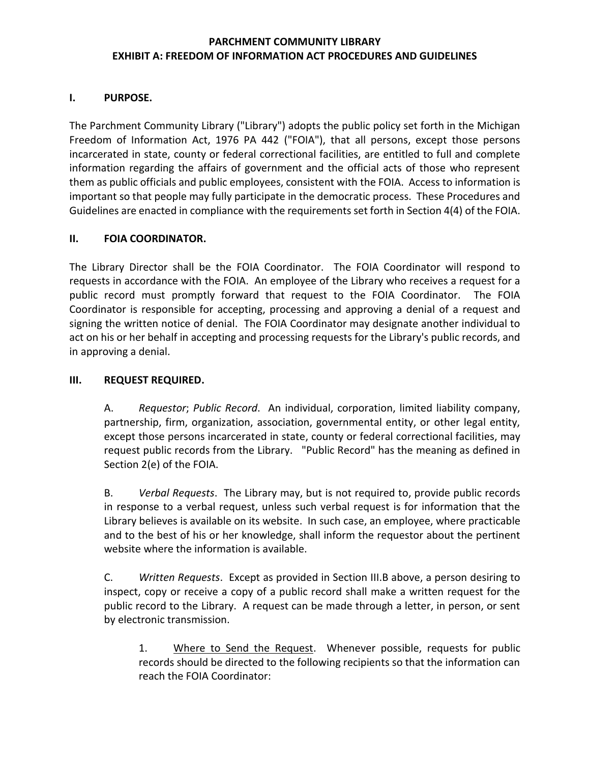#### **PARCHMENT COMMUNITY LIBRARY EXHIBIT A: FREEDOM OF INFORMATION ACT PROCEDURES AND GUIDELINES**

#### **I. PURPOSE.**

The Parchment Community Library ("Library") adopts the public policy set forth in the Michigan Freedom of Information Act, 1976 PA 442 ("FOIA"), that all persons, except those persons incarcerated in state, county or federal correctional facilities, are entitled to full and complete information regarding the affairs of government and the official acts of those who represent them as public officials and public employees, consistent with the FOIA. Access to information is important so that people may fully participate in the democratic process. These Procedures and Guidelines are enacted in compliance with the requirements set forth in Section 4(4) of the FOIA.

#### **II. FOIA COORDINATOR.**

The Library Director shall be the FOIA Coordinator. The FOIA Coordinator will respond to requests in accordance with the FOIA. An employee of the Library who receives a request for a public record must promptly forward that request to the FOIA Coordinator. The FOIA Coordinator is responsible for accepting, processing and approving a denial of a request and signing the written notice of denial. The FOIA Coordinator may designate another individual to act on his or her behalf in accepting and processing requests for the Library's public records, and in approving a denial.

#### **III. REQUEST REQUIRED.**

A. *Requestor*; *Public Record*. An individual, corporation, limited liability company, partnership, firm, organization, association, governmental entity, or other legal entity, except those persons incarcerated in state, county or federal correctional facilities, may request public records from the Library. "Public Record" has the meaning as defined in Section 2(e) of the FOIA.

B. *Verbal Requests*. The Library may, but is not required to, provide public records in response to a verbal request, unless such verbal request is for information that the Library believes is available on its website. In such case, an employee, where practicable and to the best of his or her knowledge, shall inform the requestor about the pertinent website where the information is available.

C. *Written Requests*. Except as provided in Section III.B above, a person desiring to inspect, copy or receive a copy of a public record shall make a written request for the public record to the Library. A request can be made through a letter, in person, or sent by electronic transmission.

1. Where to Send the Request. Whenever possible, requests for public records should be directed to the following recipients so that the information can reach the FOIA Coordinator: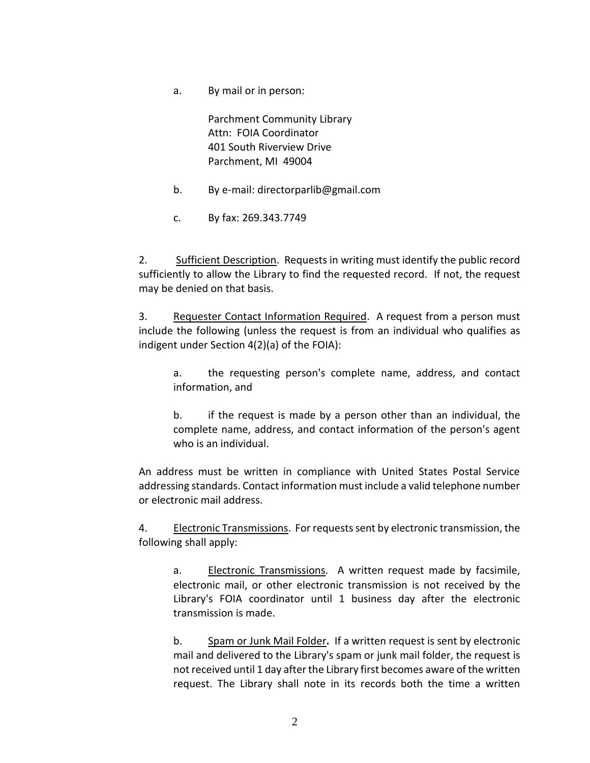a. By mail or in person:

Parchment Community Library Attn: FOIA Coordinator 401 South Riverview Drive Parchment, MI 49004

- b. By e-mail: directorparlib@gmail.com
- c. By fax: 269.343.7749

2. Sufficient Description. Requests in writing must identify the public record sufficiently to allow the Library to find the requested record. If not, the request may be denied on that basis.

3. Requester Contact Information Required. A request from a person must include the following (unless the request is from an individual who qualifies as indigent under Section 4(2)(a) of the FOIA):

a. the requesting person's complete name, address, and contact information, and

b. if the request is made by a person other than an individual, the complete name, address, and contact information of the person's agent who is an individual.

An address must be written in compliance with United States Postal Service addressing standards. Contact information must include a valid telephone number or electronic mail address.

4. Electronic Transmissions. For requests sent by electronic transmission, the following shall apply:

a. Electronic Transmissions. A written request made by facsimile, electronic mail, or other electronic transmission is not received by the Library's FOIA coordinator until 1 business day after the electronic transmission is made.

b. Spam or Junk Mail Folder**.** If a written request is sent by electronic mail and delivered to the Library's spam or junk mail folder, the request is not received until 1 day after the Library first becomes aware of the written request. The Library shall note in its records both the time a written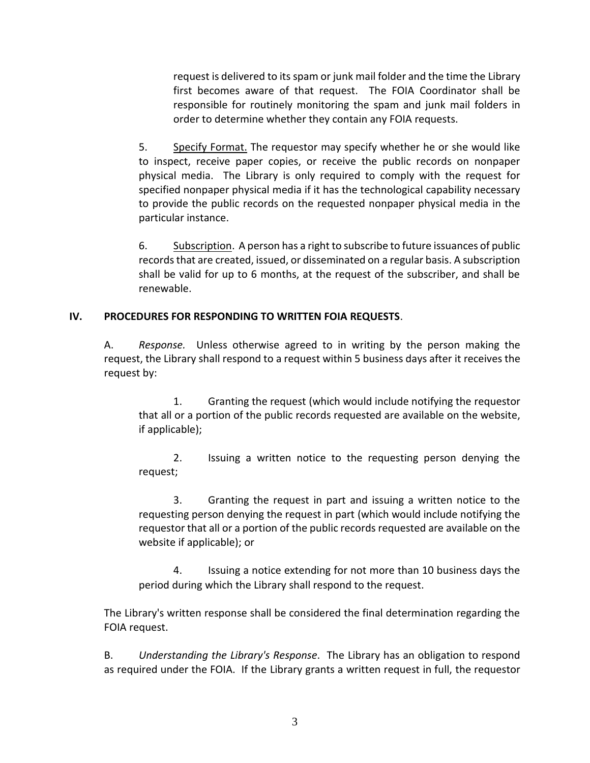request is delivered to its spam or junk mail folder and the time the Library first becomes aware of that request. The FOIA Coordinator shall be responsible for routinely monitoring the spam and junk mail folders in order to determine whether they contain any FOIA requests.

5. Specify Format. The requestor may specify whether he or she would like to inspect, receive paper copies, or receive the public records on nonpaper physical media. The Library is only required to comply with the request for specified nonpaper physical media if it has the technological capability necessary to provide the public records on the requested nonpaper physical media in the particular instance.

6. Subscription. A person has a right to subscribe to future issuances of public records that are created, issued, or disseminated on a regular basis. A subscription shall be valid for up to 6 months, at the request of the subscriber, and shall be renewable.

## **IV. PROCEDURES FOR RESPONDING TO WRITTEN FOIA REQUESTS**.

A. *Response.* Unless otherwise agreed to in writing by the person making the request, the Library shall respond to a request within 5 business days after it receives the request by:

1. Granting the request (which would include notifying the requestor that all or a portion of the public records requested are available on the website, if applicable);

2. Issuing a written notice to the requesting person denying the request;

3. Granting the request in part and issuing a written notice to the requesting person denying the request in part (which would include notifying the requestor that all or a portion of the public records requested are available on the website if applicable); or

4. Issuing a notice extending for not more than 10 business days the period during which the Library shall respond to the request.

The Library's written response shall be considered the final determination regarding the FOIA request.

B. *Understanding the Library's Response*. The Library has an obligation to respond as required under the FOIA. If the Library grants a written request in full, the requestor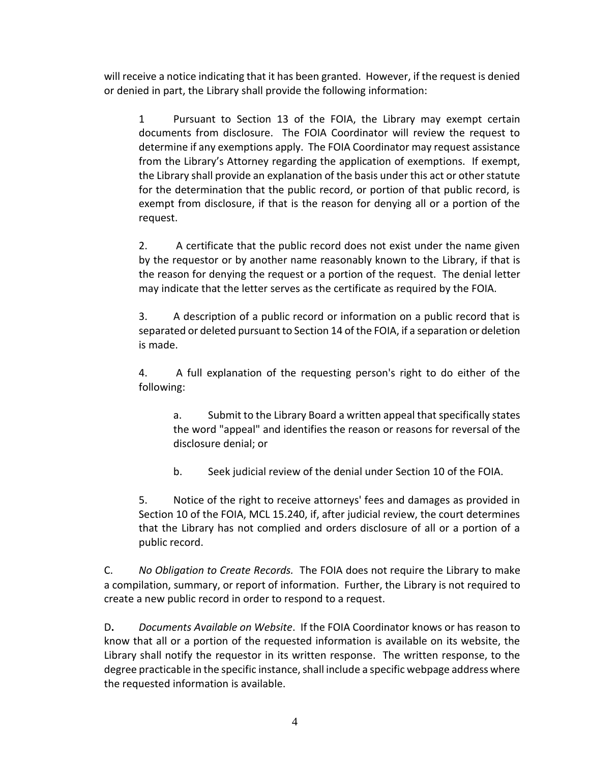will receive a notice indicating that it has been granted. However, if the request is denied or denied in part, the Library shall provide the following information:

1 Pursuant to Section 13 of the FOIA, the Library may exempt certain documents from disclosure. The FOIA Coordinator will review the request to determine if any exemptions apply. The FOIA Coordinator may request assistance from the Library's Attorney regarding the application of exemptions. If exempt, the Library shall provide an explanation of the basis under this act or other statute for the determination that the public record, or portion of that public record, is exempt from disclosure, if that is the reason for denying all or a portion of the request.

2. A certificate that the public record does not exist under the name given by the requestor or by another name reasonably known to the Library, if that is the reason for denying the request or a portion of the request. The denial letter may indicate that the letter serves as the certificate as required by the FOIA.

3. A description of a public record or information on a public record that is separated or deleted pursuant to Section 14 of the FOIA, if a separation or deletion is made.

4. A full explanation of the requesting person's right to do either of the following:

a. Submit to the Library Board a written appeal that specifically states the word "appeal" and identifies the reason or reasons for reversal of the disclosure denial; or

b. Seek judicial review of the denial under Section 10 of the FOIA.

5. Notice of the right to receive attorneys' fees and damages as provided in Section 10 of the FOIA, MCL 15.240, if, after judicial review, the court determines that the Library has not complied and orders disclosure of all or a portion of a public record.

C. *No Obligation to Create Records.* The FOIA does not require the Library to make a compilation, summary, or report of information. Further, the Library is not required to create a new public record in order to respond to a request.

D**.** *Documents Available on Website*. If the FOIA Coordinator knows or has reason to know that all or a portion of the requested information is available on its website, the Library shall notify the requestor in its written response. The written response, to the degree practicable in the specific instance, shall include a specific webpage address where the requested information is available.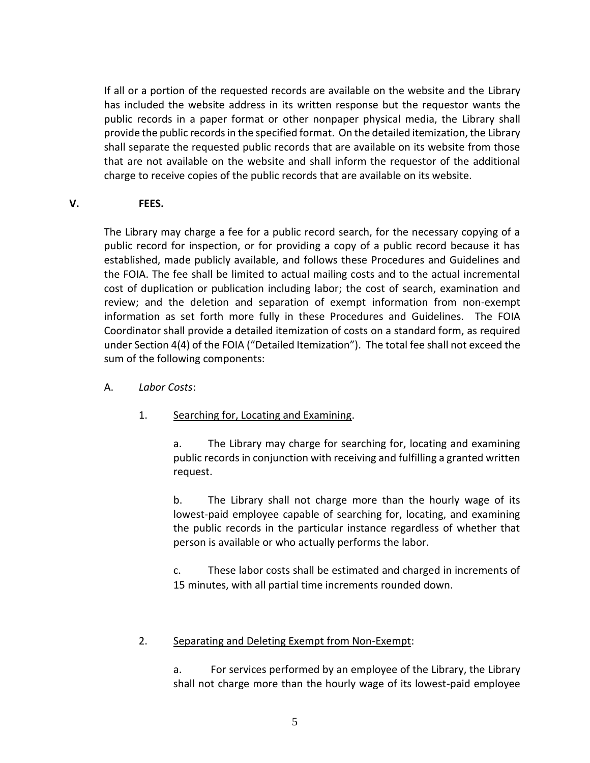If all or a portion of the requested records are available on the website and the Library has included the website address in its written response but the requestor wants the public records in a paper format or other nonpaper physical media, the Library shall provide the public records in the specified format. On the detailed itemization, the Library shall separate the requested public records that are available on its website from those that are not available on the website and shall inform the requestor of the additional charge to receive copies of the public records that are available on its website.

#### **V. FEES.**

The Library may charge a fee for a public record search, for the necessary copying of a public record for inspection, or for providing a copy of a public record because it has established, made publicly available, and follows these Procedures and Guidelines and the FOIA. The fee shall be limited to actual mailing costs and to the actual incremental cost of duplication or publication including labor; the cost of search, examination and review; and the deletion and separation of exempt information from non-exempt information as set forth more fully in these Procedures and Guidelines. The FOIA Coordinator shall provide a detailed itemization of costs on a standard form, as required under Section 4(4) of the FOIA ("Detailed Itemization"). The total fee shall not exceed the sum of the following components:

- A. *Labor Costs*:
	- 1. Searching for, Locating and Examining.

a. The Library may charge for searching for, locating and examining public records in conjunction with receiving and fulfilling a granted written request.

b. The Library shall not charge more than the hourly wage of its lowest-paid employee capable of searching for, locating, and examining the public records in the particular instance regardless of whether that person is available or who actually performs the labor.

c. These labor costs shall be estimated and charged in increments of 15 minutes, with all partial time increments rounded down.

## 2. Separating and Deleting Exempt from Non-Exempt:

a. For services performed by an employee of the Library, the Library shall not charge more than the hourly wage of its lowest-paid employee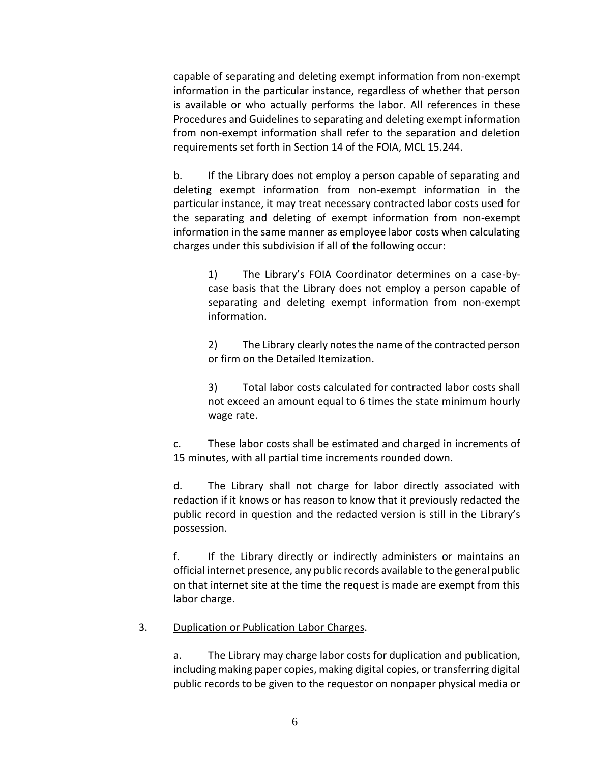capable of separating and deleting exempt information from non-exempt information in the particular instance, regardless of whether that person is available or who actually performs the labor. All references in these Procedures and Guidelines to separating and deleting exempt information from non-exempt information shall refer to the separation and deletion requirements set forth in Section 14 of the FOIA, MCL 15.244.

b. If the Library does not employ a person capable of separating and deleting exempt information from non-exempt information in the particular instance, it may treat necessary contracted labor costs used for the separating and deleting of exempt information from non-exempt information in the same manner as employee labor costs when calculating charges under this subdivision if all of the following occur:

> 1) The Library's FOIA Coordinator determines on a case-bycase basis that the Library does not employ a person capable of separating and deleting exempt information from non-exempt information.

> 2) The Library clearly notes the name of the contracted person or firm on the Detailed Itemization.

> 3) Total labor costs calculated for contracted labor costs shall not exceed an amount equal to 6 times the state minimum hourly wage rate.

c. These labor costs shall be estimated and charged in increments of 15 minutes, with all partial time increments rounded down.

d. The Library shall not charge for labor directly associated with redaction if it knows or has reason to know that it previously redacted the public record in question and the redacted version is still in the Library's possession.

f. If the Library directly or indirectly administers or maintains an official internet presence, any public records available to the general public on that internet site at the time the request is made are exempt from this labor charge.

#### 3. Duplication or Publication Labor Charges.

a. The Library may charge labor costs for duplication and publication, including making paper copies, making digital copies, or transferring digital public records to be given to the requestor on nonpaper physical media or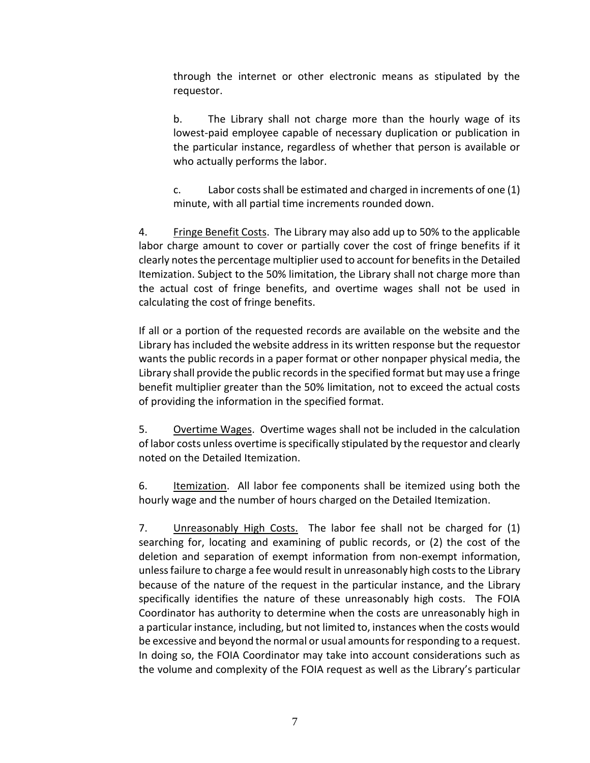through the internet or other electronic means as stipulated by the requestor.

b. The Library shall not charge more than the hourly wage of its lowest-paid employee capable of necessary duplication or publication in the particular instance, regardless of whether that person is available or who actually performs the labor.

c. Labor costs shall be estimated and charged in increments of one (1) minute, with all partial time increments rounded down.

4. Fringe Benefit Costs. The Library may also add up to 50% to the applicable labor charge amount to cover or partially cover the cost of fringe benefits if it clearly notes the percentage multiplier used to account for benefits in the Detailed Itemization. Subject to the 50% limitation, the Library shall not charge more than the actual cost of fringe benefits, and overtime wages shall not be used in calculating the cost of fringe benefits.

If all or a portion of the requested records are available on the website and the Library has included the website address in its written response but the requestor wants the public records in a paper format or other nonpaper physical media, the Library shall provide the public records in the specified format but may use a fringe benefit multiplier greater than the 50% limitation, not to exceed the actual costs of providing the information in the specified format.

5. Overtime Wages. Overtime wages shall not be included in the calculation of labor costs unless overtime is specifically stipulated by the requestor and clearly noted on the Detailed Itemization.

6. Itemization. All labor fee components shall be itemized using both the hourly wage and the number of hours charged on the Detailed Itemization.

7. Unreasonably High Costs. The labor fee shall not be charged for (1) searching for, locating and examining of public records, or (2) the cost of the deletion and separation of exempt information from non-exempt information, unless failure to charge a fee would result in unreasonably high costs to the Library because of the nature of the request in the particular instance, and the Library specifically identifies the nature of these unreasonably high costs. The FOIA Coordinator has authority to determine when the costs are unreasonably high in a particular instance, including, but not limited to, instances when the costs would be excessive and beyond the normal or usual amounts for responding to a request. In doing so, the FOIA Coordinator may take into account considerations such as the volume and complexity of the FOIA request as well as the Library's particular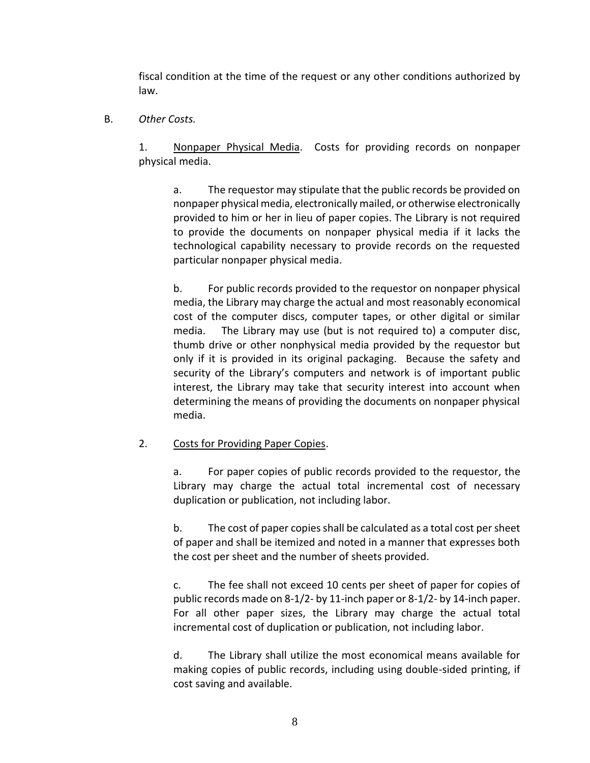fiscal condition at the time of the request or any other conditions authorized by law.

B. *Other Costs.*

1. Nonpaper Physical Media. Costs for providing records on nonpaper physical media.

a. The requestor may stipulate that the public records be provided on nonpaper physical media, electronically mailed, or otherwise electronically provided to him or her in lieu of paper copies. The Library is not required to provide the documents on nonpaper physical media if it lacks the technological capability necessary to provide records on the requested particular nonpaper physical media.

b. For public records provided to the requestor on nonpaper physical media, the Library may charge the actual and most reasonably economical cost of the computer discs, computer tapes, or other digital or similar media. The Library may use (but is not required to) a computer disc, thumb drive or other nonphysical media provided by the requestor but only if it is provided in its original packaging. Because the safety and security of the Library's computers and network is of important public interest, the Library may take that security interest into account when determining the means of providing the documents on nonpaper physical media.

#### 2. Costs for Providing Paper Copies.

a. For paper copies of public records provided to the requestor, the Library may charge the actual total incremental cost of necessary duplication or publication, not including labor.

b. The cost of paper copies shall be calculated as a total cost per sheet of paper and shall be itemized and noted in a manner that expresses both the cost per sheet and the number of sheets provided.

c. The fee shall not exceed 10 cents per sheet of paper for copies of public records made on 8-1/2- by 11-inch paper or 8-1/2- by 14-inch paper. For all other paper sizes, the Library may charge the actual total incremental cost of duplication or publication, not including labor.

d. The Library shall utilize the most economical means available for making copies of public records, including using double-sided printing, if cost saving and available.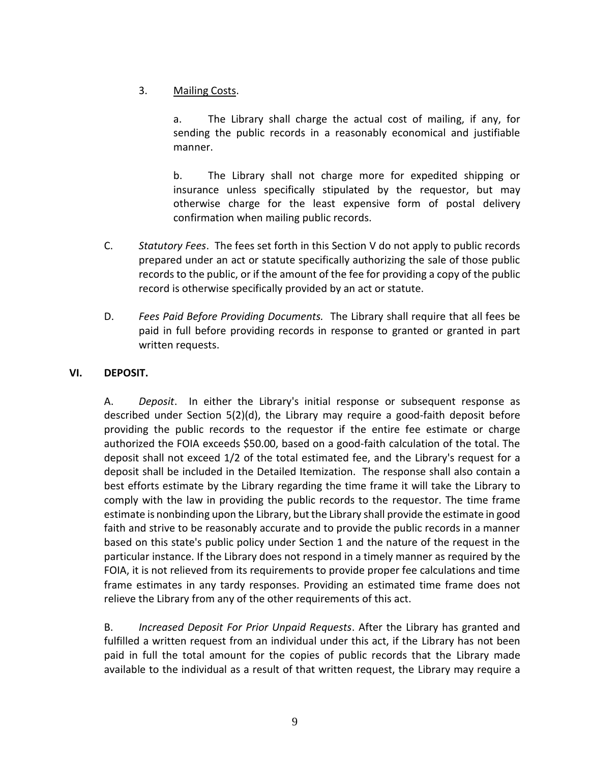# 3. Mailing Costs.

a. The Library shall charge the actual cost of mailing, if any, for sending the public records in a reasonably economical and justifiable manner.

b. The Library shall not charge more for expedited shipping or insurance unless specifically stipulated by the requestor, but may otherwise charge for the least expensive form of postal delivery confirmation when mailing public records.

- C. *Statutory Fees*. The fees set forth in this Section V do not apply to public records prepared under an act or statute specifically authorizing the sale of those public records to the public, or if the amount of the fee for providing a copy of the public record is otherwise specifically provided by an act or statute.
- D. *Fees Paid Before Providing Documents.* The Library shall require that all fees be paid in full before providing records in response to granted or granted in part written requests.

## **VI. DEPOSIT.**

A. *Deposit*. In either the Library's initial response or subsequent response as described under Section 5(2)(d), the Library may require a good-faith deposit before providing the public records to the requestor if the entire fee estimate or charge authorized the FOIA exceeds \$50.00, based on a good-faith calculation of the total. The deposit shall not exceed 1/2 of the total estimated fee, and the Library's request for a deposit shall be included in the Detailed Itemization. The response shall also contain a best efforts estimate by the Library regarding the time frame it will take the Library to comply with the law in providing the public records to the requestor. The time frame estimate is nonbinding upon the Library, but the Library shall provide the estimate in good faith and strive to be reasonably accurate and to provide the public records in a manner based on this state's public policy under Section 1 and the nature of the request in the particular instance. If the Library does not respond in a timely manner as required by the FOIA, it is not relieved from its requirements to provide proper fee calculations and time frame estimates in any tardy responses. Providing an estimated time frame does not relieve the Library from any of the other requirements of this act.

B. *Increased Deposit For Prior Unpaid Requests*. After the Library has granted and fulfilled a written request from an individual under this act, if the Library has not been paid in full the total amount for the copies of public records that the Library made available to the individual as a result of that written request, the Library may require a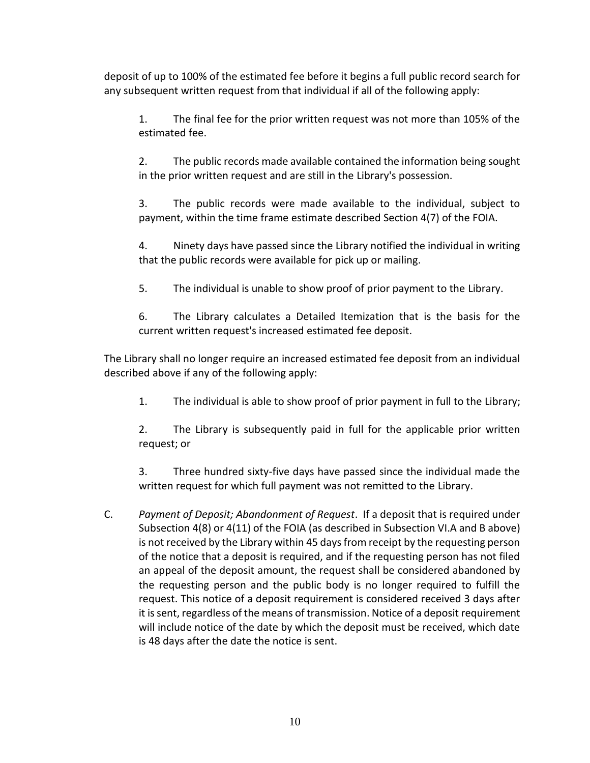deposit of up to 100% of the estimated fee before it begins a full public record search for any subsequent written request from that individual if all of the following apply:

1. The final fee for the prior written request was not more than 105% of the estimated fee.

2. The public records made available contained the information being sought in the prior written request and are still in the Library's possession.

3. The public records were made available to the individual, subject to payment, within the time frame estimate described Section 4(7) of the FOIA.

4. Ninety days have passed since the Library notified the individual in writing that the public records were available for pick up or mailing.

5. The individual is unable to show proof of prior payment to the Library.

6. The Library calculates a Detailed Itemization that is the basis for the current written request's increased estimated fee deposit.

The Library shall no longer require an increased estimated fee deposit from an individual described above if any of the following apply:

1. The individual is able to show proof of prior payment in full to the Library;

2. The Library is subsequently paid in full for the applicable prior written request; or

3. Three hundred sixty-five days have passed since the individual made the written request for which full payment was not remitted to the Library.

C. *Payment of Deposit; Abandonment of Request*. If a deposit that is required under Subsection 4(8) or 4(11) of the FOIA (as described in Subsection VI.A and B above) is not received by the Library within 45 days from receipt by the requesting person of the notice that a deposit is required, and if the requesting person has not filed an appeal of the deposit amount, the request shall be considered abandoned by the requesting person and the public body is no longer required to fulfill the request. This notice of a deposit requirement is considered received 3 days after it is sent, regardless of the means of transmission. Notice of a deposit requirement will include notice of the date by which the deposit must be received, which date is 48 days after the date the notice is sent.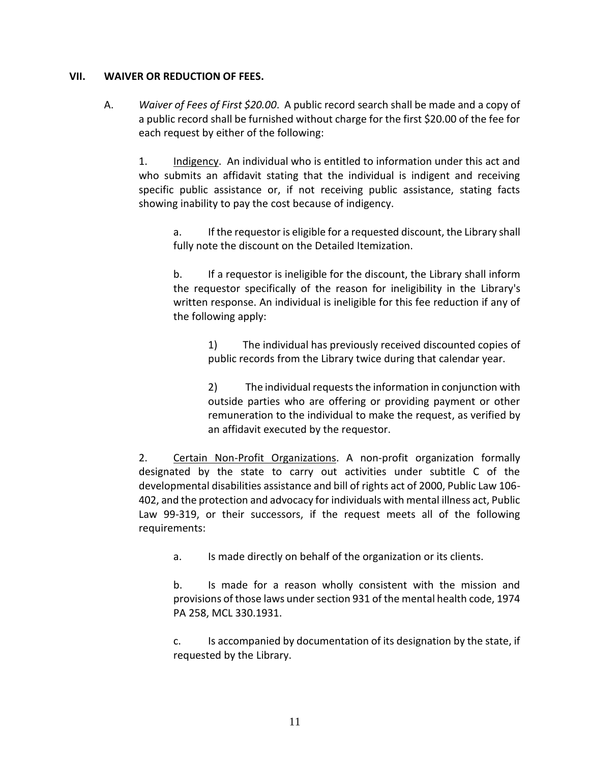#### **VII. WAIVER OR REDUCTION OF FEES.**

A. *Waiver of Fees of First \$20.00*. A public record search shall be made and a copy of a public record shall be furnished without charge for the first \$20.00 of the fee for each request by either of the following:

1. Indigency. An individual who is entitled to information under this act and who submits an affidavit stating that the individual is indigent and receiving specific public assistance or, if not receiving public assistance, stating facts showing inability to pay the cost because of indigency.

a. If the requestor is eligible for a requested discount, the Library shall fully note the discount on the Detailed Itemization.

b. If a requestor is ineligible for the discount, the Library shall inform the requestor specifically of the reason for ineligibility in the Library's written response. An individual is ineligible for this fee reduction if any of the following apply:

> 1) The individual has previously received discounted copies of public records from the Library twice during that calendar year.

> 2) The individual requests the information in conjunction with outside parties who are offering or providing payment or other remuneration to the individual to make the request, as verified by an affidavit executed by the requestor.

2. Certain Non-Profit Organizations. A non-profit organization formally designated by the state to carry out activities under subtitle C of the developmental disabilities assistance and bill of rights act of 2000, Public Law 106- 402, and the protection and advocacy for individuals with mental illness act, Public Law 99-319, or their successors, if the request meets all of the following requirements:

a. Is made directly on behalf of the organization or its clients.

b. Is made for a reason wholly consistent with the mission and provisions of those laws under section 931 of the mental health code, 1974 PA 258, MCL 330.1931.

c. Is accompanied by documentation of its designation by the state, if requested by the Library.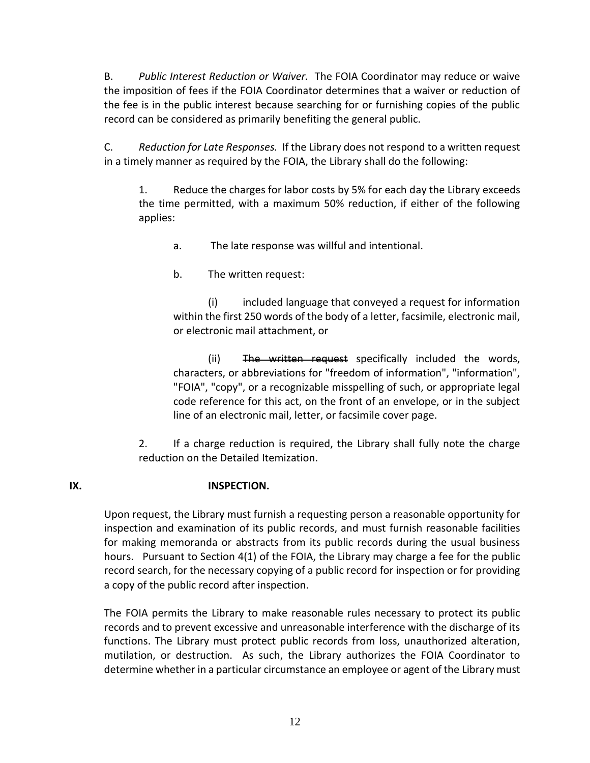B. *Public Interest Reduction or Waiver.* The FOIA Coordinator may reduce or waive the imposition of fees if the FOIA Coordinator determines that a waiver or reduction of the fee is in the public interest because searching for or furnishing copies of the public record can be considered as primarily benefiting the general public.

C. *Reduction for Late Responses.* If the Library does not respond to a written request in a timely manner as required by the FOIA, the Library shall do the following:

1. Reduce the charges for labor costs by 5% for each day the Library exceeds the time permitted, with a maximum 50% reduction, if either of the following applies:

a. The late response was willful and intentional.

b. The written request:

(i) included language that conveyed a request for information within the first 250 words of the body of a letter, facsimile, electronic mail, or electronic mail attachment, or

(ii) The written request specifically included the words, characters, or abbreviations for "freedom of information", "information", "FOIA", "copy", or a recognizable misspelling of such, or appropriate legal code reference for this act, on the front of an envelope, or in the subject line of an electronic mail, letter, or facsimile cover page.

2. If a charge reduction is required, the Library shall fully note the charge reduction on the Detailed Itemization.

## **IX. INSPECTION.**

Upon request, the Library must furnish a requesting person a reasonable opportunity for inspection and examination of its public records, and must furnish reasonable facilities for making memoranda or abstracts from its public records during the usual business hours. Pursuant to Section 4(1) of the FOIA, the Library may charge a fee for the public record search, for the necessary copying of a public record for inspection or for providing a copy of the public record after inspection.

The FOIA permits the Library to make reasonable rules necessary to protect its public records and to prevent excessive and unreasonable interference with the discharge of its functions. The Library must protect public records from loss, unauthorized alteration, mutilation, or destruction. As such, the Library authorizes the FOIA Coordinator to determine whether in a particular circumstance an employee or agent of the Library must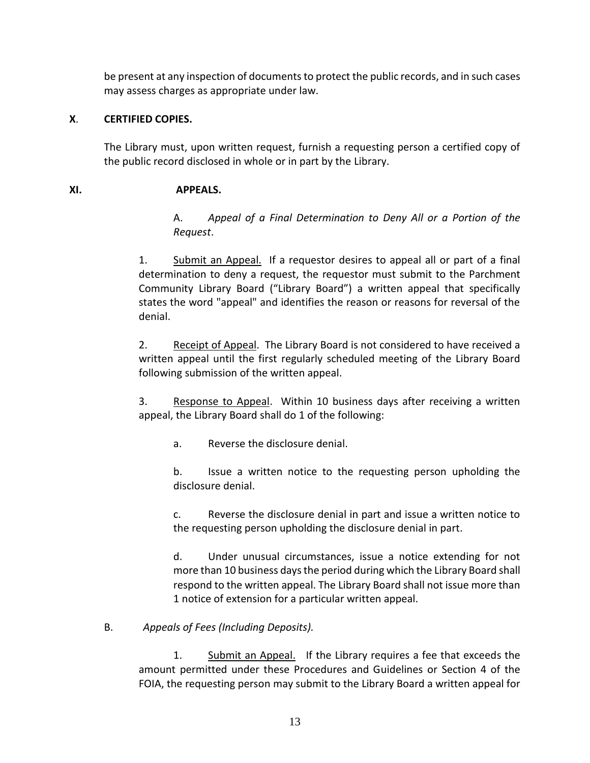be present at any inspection of documents to protect the public records, and in such cases may assess charges as appropriate under law.

## **X**. **CERTIFIED COPIES.**

The Library must, upon written request, furnish a requesting person a certified copy of the public record disclosed in whole or in part by the Library.

# **XI. APPEALS.**

A. *Appeal of a Final Determination to Deny All or a Portion of the Request*.

1. Submit an Appeal. If a requestor desires to appeal all or part of a final determination to deny a request, the requestor must submit to the Parchment Community Library Board ("Library Board") a written appeal that specifically states the word "appeal" and identifies the reason or reasons for reversal of the denial.

2. Receipt of Appeal. The Library Board is not considered to have received a written appeal until the first regularly scheduled meeting of the Library Board following submission of the written appeal.

3. Response to Appeal. Within 10 business days after receiving a written appeal, the Library Board shall do 1 of the following:

a. Reverse the disclosure denial.

b. Issue a written notice to the requesting person upholding the disclosure denial.

c. Reverse the disclosure denial in part and issue a written notice to the requesting person upholding the disclosure denial in part.

d. Under unusual circumstances, issue a notice extending for not more than 10 business days the period during which the Library Board shall respond to the written appeal. The Library Board shall not issue more than 1 notice of extension for a particular written appeal.

# B. *Appeals of Fees (Including Deposits).*

1. Submit an Appeal. If the Library requires a fee that exceeds the amount permitted under these Procedures and Guidelines or Section 4 of the FOIA, the requesting person may submit to the Library Board a written appeal for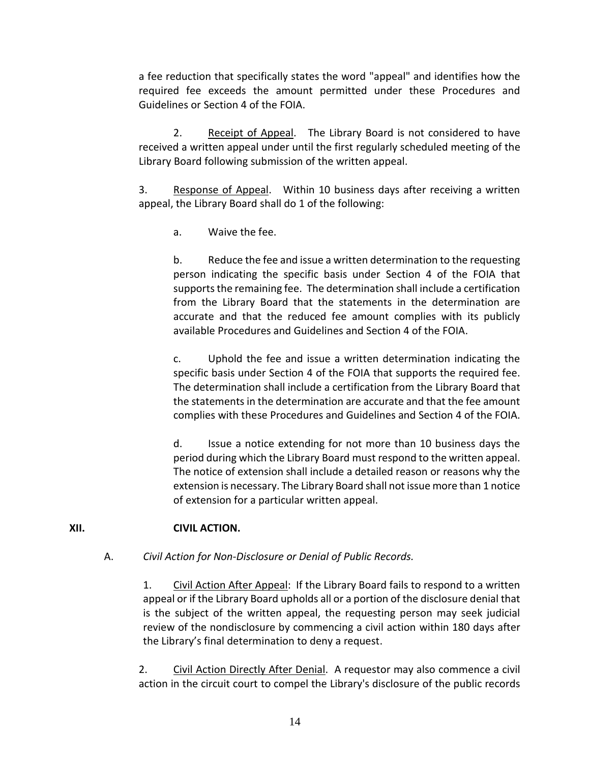a fee reduction that specifically states the word "appeal" and identifies how the required fee exceeds the amount permitted under these Procedures and Guidelines or Section 4 of the FOIA.

2. Receipt of Appeal. The Library Board is not considered to have received a written appeal under until the first regularly scheduled meeting of the Library Board following submission of the written appeal.

3. Response of Appeal. Within 10 business days after receiving a written appeal, the Library Board shall do 1 of the following:

a. Waive the fee.

b. Reduce the fee and issue a written determination to the requesting person indicating the specific basis under Section 4 of the FOIA that supports the remaining fee. The determination shall include a certification from the Library Board that the statements in the determination are accurate and that the reduced fee amount complies with its publicly available Procedures and Guidelines and Section 4 of the FOIA.

c. Uphold the fee and issue a written determination indicating the specific basis under Section 4 of the FOIA that supports the required fee. The determination shall include a certification from the Library Board that the statements in the determination are accurate and that the fee amount complies with these Procedures and Guidelines and Section 4 of the FOIA.

d. Issue a notice extending for not more than 10 business days the period during which the Library Board must respond to the written appeal. The notice of extension shall include a detailed reason or reasons why the extension is necessary. The Library Board shall not issue more than 1 notice of extension for a particular written appeal.

## **XII. CIVIL ACTION.**

## A. *Civil Action for Non-Disclosure or Denial of Public Records.*

1. Civil Action After Appeal: If the Library Board fails to respond to a written appeal or if the Library Board upholds all or a portion of the disclosure denial that is the subject of the written appeal, the requesting person may seek judicial review of the nondisclosure by commencing a civil action within 180 days after the Library's final determination to deny a request.

2. Civil Action Directly After Denial. A requestor may also commence a civil action in the circuit court to compel the Library's disclosure of the public records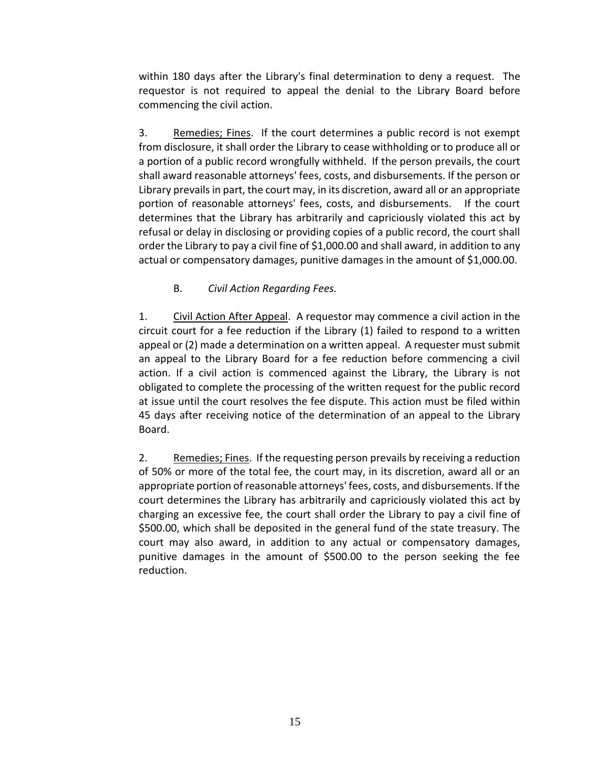within 180 days after the Library's final determination to deny a request. The requestor is not required to appeal the denial to the Library Board before commencing the civil action.

3. Remedies; Fines. If the court determines a public record is not exempt from disclosure, it shall order the Library to cease withholding or to produce all or a portion of a public record wrongfully withheld. If the person prevails, the court shall award reasonable attorneys' fees, costs, and disbursements. If the person or Library prevails in part, the court may, in its discretion, award all or an appropriate portion of reasonable attorneys' fees, costs, and disbursements. If the court determines that the Library has arbitrarily and capriciously violated this act by refusal or delay in disclosing or providing copies of a public record, the court shall order the Library to pay a civil fine of \$1,000.00 and shall award, in addition to any actual or compensatory damages, punitive damages in the amount of \$1,000.00.

B. *Civil Action Regarding Fees.*

1. Civil Action After Appeal. A requestor may commence a civil action in the circuit court for a fee reduction if the Library (1) failed to respond to a written appeal or (2) made a determination on a written appeal. A requester must submit an appeal to the Library Board for a fee reduction before commencing a civil action. If a civil action is commenced against the Library, the Library is not obligated to complete the processing of the written request for the public record at issue until the court resolves the fee dispute. This action must be filed within 45 days after receiving notice of the determination of an appeal to the Library Board.

2. Remedies; Fines. If the requesting person prevails by receiving a reduction of 50% or more of the total fee, the court may, in its discretion, award all or an appropriate portion of reasonable attorneys' fees, costs, and disbursements. If the court determines the Library has arbitrarily and capriciously violated this act by charging an excessive fee, the court shall order the Library to pay a civil fine of \$500.00, which shall be deposited in the general fund of the state treasury. The court may also award, in addition to any actual or compensatory damages, punitive damages in the amount of \$500.00 to the person seeking the fee reduction.